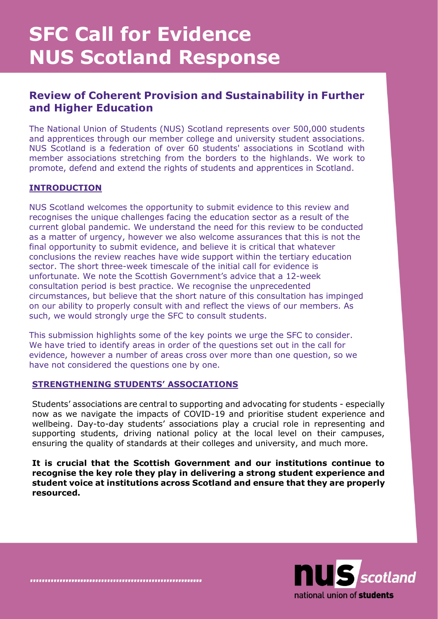# **SFC Call for Evidence NUS Scotland Response**

# **Review of Coherent Provision and Sustainability in Further and Higher Education**

The National Union of Students (NUS) Scotland represents over 500,000 students and apprentices through our member college and university student associations. NUS Scotland is a federation of over 60 students' associations in Scotland with member associations stretching from the borders to the highlands. We work to promote, defend and extend the rights of students and apprentices in Scotland.

# **INTRODUCTION**

NUS Scotland welcomes the opportunity to submit evidence to this review and recognises the unique challenges facing the education sector as a result of the current global pandemic. We understand the need for this review to be conducted as a matter of urgency, however we also welcome assurances that this is not the final opportunity to submit evidence, and believe it is critical that whatever conclusions the review reaches have wide support within the tertiary education sector. The short three-week timescale of the initial call for evidence is unfortunate. We note the Scottish Government's advice that a 12-week consultation period is best practice. We recognise the unprecedented circumstances, but believe that the short nature of this consultation has impinged on our ability to properly consult with and reflect the views of our members. As such, we would strongly urge the SFC to consult students.

This submission highlights some of the key points we urge the SFC to consider. We have tried to identify areas in order of the questions set out in the call for evidence, however a number of areas cross over more than one question, so we have not considered the questions one by one.

# **STRENGTHENING STUDENTS' ASSOCIATIONS**

Students' associations are central to supporting and advocating for students - especially now as we navigate the impacts of COVID-19 and prioritise student experience and wellbeing. Day-to-day students' associations play a crucial role in representing and supporting students, driving national policy at the local level on their campuses, ensuring the quality of standards at their colleges and university, and much more.

**It is crucial that the Scottish Government and our institutions continue to recognise the key role they play in delivering a strong student experience and student voice at institutions across Scotland and ensure that they are properly resourced.** 

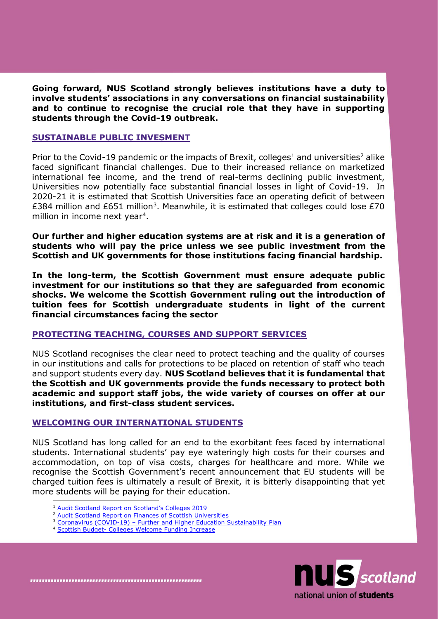**Going forward, NUS Scotland strongly believes institutions have a duty to involve students' associations in any conversations on financial sustainability and to continue to recognise the crucial role that they have in supporting students through the Covid-19 outbreak.**

#### **SUSTAINABLE PUBLIC INVESMENT**

Prior to the Covid-19 pandemic or the impacts of Brexit, colleges<sup>1</sup> and universities<sup>2</sup> alike faced significant financial challenges. Due to their increased reliance on marketized international fee income, and the trend of real-terms declining public investment, Universities now potentially face substantial financial losses in light of Covid-19. In 2020-21 it is estimated that Scottish Universities face an operating deficit of between £384 million and £651 million<sup>3</sup>. Meanwhile, it is estimated that colleges could lose £70 million in income next year<sup>4</sup>.

**Our further and higher education systems are at risk and it is a generation of students who will pay the price unless we see public investment from the Scottish and UK governments for those institutions facing financial hardship.** 

**In the long-term, the Scottish Government must ensure adequate public investment for our institutions so that they are safeguarded from economic shocks. We welcome the Scottish Government ruling out the introduction of tuition fees for Scottish undergraduate students in light of the current financial circumstances facing the sector**

#### **PROTECTING TEACHING, COURSES AND SUPPORT SERVICES**

NUS Scotland recognises the clear need to protect teaching and the quality of courses in our institutions and calls for protections to be placed on retention of staff who teach and support students every day. **NUS Scotland believes that it is fundamental that the Scottish and UK governments provide the funds necessary to protect both academic and support staff jobs, the wide variety of courses on offer at our institutions, and first-class student services.**

#### **WELCOMING OUR INTERNATIONAL STUDENTS**

NUS Scotland has long called for an end to the exorbitant fees faced by international students. International students' pay eye wateringly high costs for their courses and accommodation, on top of visa costs, charges for healthcare and more. While we recognise the Scottish Government's recent announcement that EU students will be charged tuition fees is ultimately a result of Brexit, it is bitterly disappointing that yet more students will be paying for their education.

- <sup>1</sup> [Audit Scotland Report on Scotland's Colleges 2019](https://www.audit-scotland.gov.uk/report/scotlands-colleges-2019)
- [Audit Scotland Report on Finances of Scottish Universities](https://www.audit-scotland.gov.uk/report/finances-of-scottish-universities)
- <sup>3</sup> Coronavirus (COVID-19) [Further and Higher Education Sustainability Plan](https://www.gov.scot/binaries/content/documents/govscot/publications/strategy-plan/2020/07/coronavirus-covid-19-further-higher-education-sustainability-plan2/documents/supporting-scotlands-colleges-universities-coronavirus-covid-19-further-higher-education-sustainability-plan/supporting-scotlands-colleges-universities-coronavirus-covid-19-further-higher-education-sustainability-plan/govscot%3Adocument/supporting-scotlands-colleges-universities-coronavirus-covid-19-further-higher-education-sustainability-plan.pdf)
- <sup>4</sup> Scottish Budget- [Colleges Welcome Funding Increase](https://www.tes.com/news/scottish-budget-colleges-welcome-funding-increase)

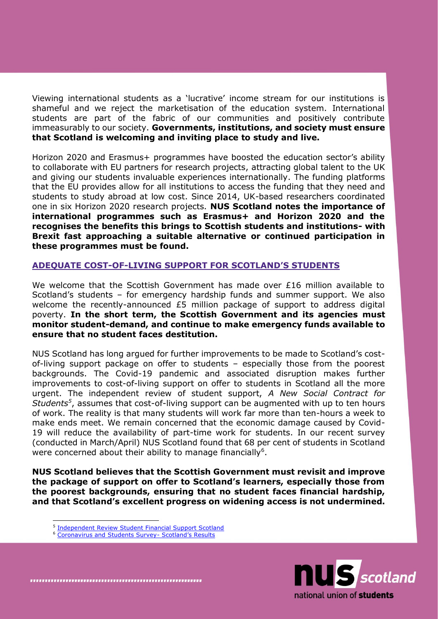Viewing international students as a 'lucrative' income stream for our institutions is shameful and we reject the marketisation of the education system. International students are part of the fabric of our communities and positively contribute immeasurably to our society. **Governments, institutions, and society must ensure that Scotland is welcoming and inviting place to study and live.**

Horizon 2020 and Erasmus+ programmes have boosted the education sector's ability to collaborate with EU partners for research projects, attracting global talent to the UK and giving our students invaluable experiences internationally. The funding platforms that the EU provides allow for all institutions to access the funding that they need and students to study abroad at low cost. Since 2014, UK-based researchers coordinated one in six Horizon 2020 research projects. **NUS Scotland notes the importance of international programmes such as Erasmus+ and Horizon 2020 and the recognises the benefits this brings to Scottish students and institutions- with Brexit fast approaching a suitable alternative or continued participation in these programmes must be found.**

### **ADEQUATE COST-OF-LIVING SUPPORT FOR SCOTLAND'S STUDENTS**

We welcome that the Scottish Government has made over £16 million available to Scotland's students – for emergency hardship funds and summer support. We also welcome the recently-announced £5 million package of support to address digital poverty. **In the short term, the Scottish Government and its agencies must monitor student-demand, and continue to make emergency funds available to ensure that no student faces destitution.** 

NUS Scotland has long argued for further improvements to be made to Scotland's costof-living support package on offer to students – especially those from the poorest backgrounds. The Covid-19 pandemic and associated disruption makes further improvements to cost-of-living support on offer to students in Scotland all the more urgent. The independent review of student support, *A New Social Contract for Students<sup>5</sup>* , assumes that cost-of-living support can be augmented with up to ten hours of work. The reality is that many students will work far more than ten-hours a week to make ends meet. We remain concerned that the economic damage caused by Covid-19 will reduce the availability of part-time work for students. In our recent survey (conducted in March/April) NUS Scotland found that 68 per cent of students in Scotland were concerned about their ability to manage financially<sup>6</sup>.

**NUS Scotland believes that the Scottish Government must revisit and improve the package of support on offer to Scotland's learners, especially those from the poorest backgrounds, ensuring that no student faces financial hardship, and that Scotland's excellent progress on widening access is not undermined.** 



<sup>5</sup> [Independent Review Student Financial Support Scotland](https://www.gov.scot/binaries/content/documents/govscot/publications/independent-report/2017/11/independent-review-student-financial-support-scotland/documents/00527875-pdf/00527875-pdf/govscot%3Adocument/00527875.pdf)

<sup>6</sup> [Coronavirus and Students Survey-](https://nusdigital.s3-eu-west-1.amazonaws.com/document/documents/56200/6f965bd9585015d1dd58f0ebac7d7b43/20200507_Coronavirus_report_Scotland.pdf?AWSAccessKeyId=ASIA4ZNQXZBZB76GLBRW&Expires=1596722884&Signature=KE1aUZ2MbVs0E9HlKhY2iSljyho%3D&x-amz-security-token=IQoJb3JpZ2luX2VjEAkaCWV1LXdlc3QtMSJIMEYCIQCm4d04KVbb%2Bmp7fE67RFIjK%2BkncCxjtRmcbLx5Y8t9lgIhAILbyYhAnoeBqesKo5vOfsy6EkxyknVWplRO7AXBpoi9Kr0DCNL//////////wEQABoMODc5MjI4MzQwMzM4IgzGlDQn//nUI6NYhmwqkQOwEh1Q3IEHyoDMRh9yGj6QYReoo%2BDgbX9DNlu7QzPLekYJRmZO8v7OS050ncustlSQ4q9zkqis/rgd4jHnFrQfppfEmG59/2v%2BSKc3ZKgfO3i15yElIVvPg9jREevLqkd0jsywbWRIRpqBSmjzET6YuPiPsD65UVGb/j8q/GSRscDmgTbn43nw7Y1CrKUs2/4ZcmQj3uvCHkISIqCsXRVaqToprxIBvgVnZkoCa2V%2BlikHlfuCIJtOfzRO5rkvRBLzqaTP9QQu1dlQEOd%2B/4cmEgMxYBVB%2BJoSKWHDmHq1YycKzBcAx%2BKXUinQJBYNb8nTqXWPRkS/2I7T4VQZS64aZW0fcAlOIkIEIML50KtY8i%2BcKHs2JRuXF8eCRlsdj9I%2BgHxD113JWmyvduYUkYWz7HML5y925HvPT/gC/U551JiqdgGXpsQIOsaXl0vyFnLbVyAH1zQqcSCZ2CMum70vrBvKCoZxrtzEMm5iuu6s8O15hcV%2BnzoBUeTzUhclRmjr%2BOhz3/7htliey7BjZlHHRjCWg6/5BTrqAXnHBItBh7ofuKf4piyeCaJXH9ME%2BgoNBECDKBCm4XirNLDeYamqW/5JN4bv6ZeKYRTLs%2BA4DYwkf5KKxnqldUpgItgVNRInswtHj52HsyWPoQv2Wo7e%2BCTj2kYPLiguewqyyOXm3ycf3gRX4WKSdHVwoclmp9/HCfebkYjTVnId6Tk/CyYIU4iPWrkHxy%2BjvvrzGl42LAxugadUOlqAiCSyEXb6q92%2Br88sZd2TACeKLUjCYD064SFQ5NiW3cfqTcZJoA3zIQdFKzFb2HEFp3xZ8PJT68agnc6m3vTz5EYJ9cORZ0C2SGEO8A%3D%3D) Scotland's Results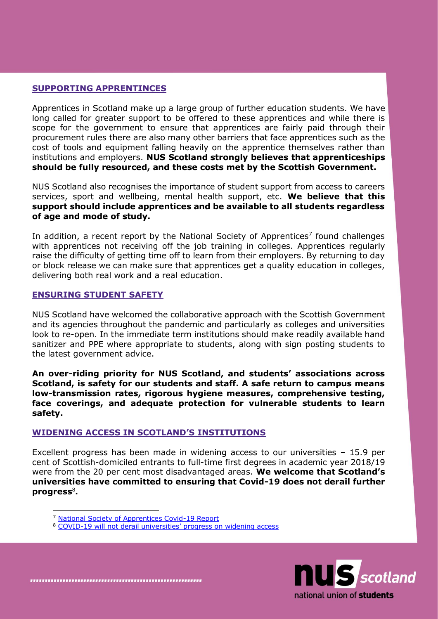#### **SUPPORTING APPRENTINCES**

Apprentices in Scotland make up a large group of further education students. We have long called for greater support to be offered to these apprentices and while there is scope for the government to ensure that apprentices are fairly paid through their procurement rules there are also many other barriers that face apprentices such as the cost of tools and equipment falling heavily on the apprentice themselves rather than institutions and employers. **NUS Scotland strongly believes that apprenticeships should be fully resourced, and these costs met by the Scottish Government.** 

NUS Scotland also recognises the importance of student support from access to careers services, sport and wellbeing, mental health support, etc. **We believe that this support should include apprentices and be available to all students regardless of age and mode of study.**

In addition, a recent report by the National Society of Apprentices<sup>7</sup> found challenges with apprentices not receiving off the job training in colleges. Apprentices regularly raise the difficulty of getting time off to learn from their employers. By returning to day or block release we can make sure that apprentices get a quality education in colleges, delivering both real work and a real education.

#### **ENSURING STUDENT SAFETY**

NUS Scotland have welcomed the collaborative approach with the Scottish Government and its agencies throughout the pandemic and particularly as colleges and universities look to re-open. In the immediate term institutions should make readily available hand sanitizer and PPE where appropriate to students, along with sign posting students to the latest government advice.

**An over-riding priority for NUS Scotland, and students' associations across Scotland, is safety for our students and staff. A safe return to campus means low-transmission rates, rigorous hygiene measures, comprehensive testing, face coverings, and adequate protection for vulnerable students to learn safety.** 

#### **WIDENING ACCESS IN SCOTLAND'S INSTITUTIONS**

Excellent progress has been made in widening access to our universities – 15.9 per cent of Scottish-domiciled entrants to full-time first degrees in academic year 2018/19 were from the 20 per cent most disadvantaged areas. **We welcome that Scotland's universities have committed to ensuring that Covid-19 does not derail further progress**<sup>8</sup> **.** 

<sup>8</sup> COVID-[19 will not derail universities' progress on widening access](https://www.universities-scotland.ac.uk/covid-19-will-not-derail-progress-on-widening-access/)



<sup>7</sup> [National Society of Apprentices Covid-19 Report](https://www.nusconnect.org.uk/resources/national-society-of-apprentices-covid-19-report)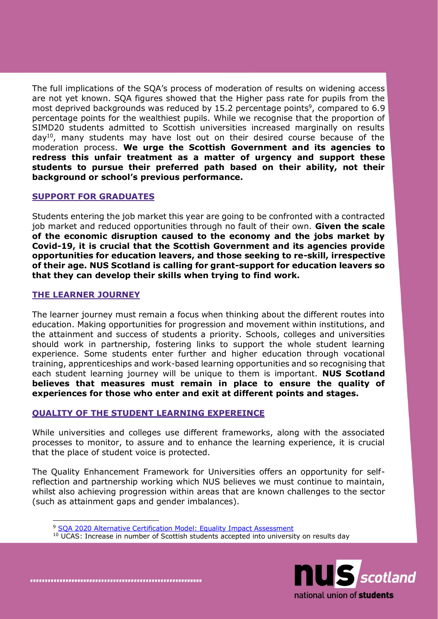The full implications of the SQA's process of moderation of results on widening access are not yet known. SQA figures showed that the Higher pass rate for pupils from the most deprived backgrounds was reduced by 15.2 percentage points<sup>9</sup>, compared to 6.9 percentage points for the wealthiest pupils. While we recognise that the proportion of SIMD20 students admitted to Scottish universities increased marginally on results  $day^{10}$ , many students may have lost out on their desired course because of the moderation process. **We urge the Scottish Government and its agencies to redress this unfair treatment as a matter of urgency and support these students to pursue their preferred path based on their ability, not their background or school's previous performance.**

### **SUPPORT FOR GRADUATES**

Students entering the job market this year are going to be confronted with a contracted job market and reduced opportunities through no fault of their own. **Given the scale of the economic disruption caused to the economy and the jobs market by Covid-19, it is crucial that the Scottish Government and its agencies provide opportunities for education leavers, and those seeking to re-skill, irrespective of their age. NUS Scotland is calling for grant-support for education leavers so that they can develop their skills when trying to find work.**

#### **THE LEARNER JOURNEY**

The learner journey must remain a focus when thinking about the different routes into education. Making opportunities for progression and movement within institutions, and the attainment and success of students a priority. Schools, colleges and universities should work in partnership, fostering links to support the whole student learning experience. Some students enter further and higher education through vocational training, apprenticeships and work-based learning opportunities and so recognising that each student learning journey will be unique to them is important. **NUS Scotland believes that measures must remain in place to ensure the quality of experiences for those who enter and exit at different points and stages.**

# **QUALITY OF THE STUDENT LEARNING EXPEREINCE**

While universities and colleges use different frameworks, along with the associated processes to monitor, to assure and to enhance the learning experience, it is crucial that the place of student voice is protected.

The Quality Enhancement Framework for Universities offers an opportunity for selfreflection and partnership working which NUS believes we must continue to maintain, whilst also achieving progression within areas that are known challenges to the sector (such as attainment gaps and gender imbalances).

<sup>&</sup>lt;sup>9</sup> SOA 2020 Alternative Certification Model: Equality Impact Assessment <sup>10</sup> UCAS: Increase in number of Scottish students accepted into university on results day